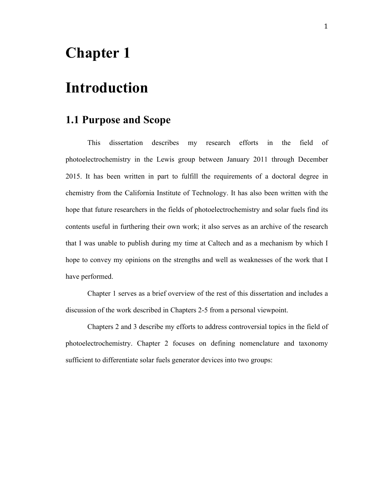## **Chapter 1**

## **Introduction**

## **1.1 Purpose and Scope**

This dissertation describes my research efforts in the field of photoelectrochemistry in the Lewis group between January 2011 through December 2015. It has been written in part to fulfill the requirements of a doctoral degree in chemistry from the California Institute of Technology. It has also been written with the hope that future researchers in the fields of photoelectrochemistry and solar fuels find its contents useful in furthering their own work; it also serves as an archive of the research that I was unable to publish during my time at Caltech and as a mechanism by which I hope to convey my opinions on the strengths and well as weaknesses of the work that I have performed.

Chapter 1 serves as a brief overview of the rest of this dissertation and includes a discussion of the work described in Chapters 2-5 from a personal viewpoint.

Chapters 2 and 3 describe my efforts to address controversial topics in the field of photoelectrochemistry. Chapter 2 focuses on defining nomenclature and taxonomy sufficient to differentiate solar fuels generator devices into two groups: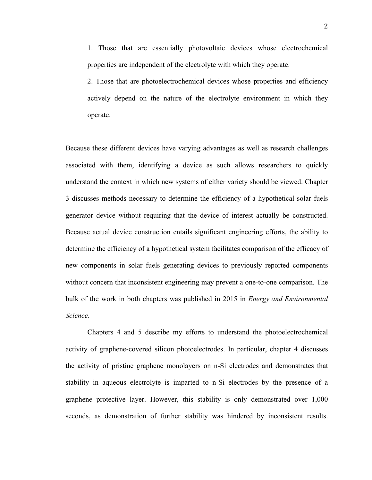1. Those that are essentially photovoltaic devices whose electrochemical properties are independent of the electrolyte with which they operate.

2. Those that are photoelectrochemical devices whose properties and efficiency actively depend on the nature of the electrolyte environment in which they operate.

Because these different devices have varying advantages as well as research challenges associated with them, identifying a device as such allows researchers to quickly understand the context in which new systems of either variety should be viewed. Chapter 3 discusses methods necessary to determine the efficiency of a hypothetical solar fuels generator device without requiring that the device of interest actually be constructed. Because actual device construction entails significant engineering efforts, the ability to determine the efficiency of a hypothetical system facilitates comparison of the efficacy of new components in solar fuels generating devices to previously reported components without concern that inconsistent engineering may prevent a one-to-one comparison. The bulk of the work in both chapters was published in 2015 in *Energy and Environmental Science*.

Chapters 4 and 5 describe my efforts to understand the photoelectrochemical activity of graphene-covered silicon photoelectrodes. In particular, chapter 4 discusses the activity of pristine graphene monolayers on n-Si electrodes and demonstrates that stability in aqueous electrolyte is imparted to n-Si electrodes by the presence of a graphene protective layer. However, this stability is only demonstrated over 1,000 seconds, as demonstration of further stability was hindered by inconsistent results.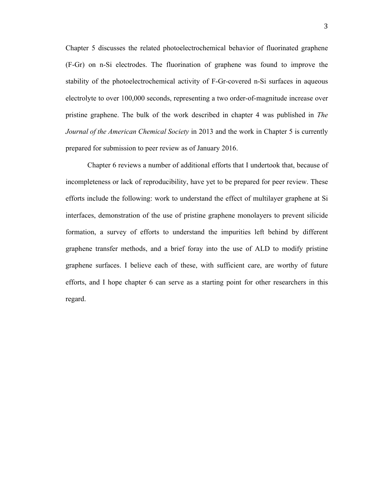Chapter 5 discusses the related photoelectrochemical behavior of fluorinated graphene (F-Gr) on n-Si electrodes. The fluorination of graphene was found to improve the stability of the photoelectrochemical activity of F-Gr-covered n-Si surfaces in aqueous electrolyte to over 100,000 seconds, representing a two order-of-magnitude increase over pristine graphene. The bulk of the work described in chapter 4 was published in *The Journal of the American Chemical Society* in 2013 and the work in Chapter 5 is currently prepared for submission to peer review as of January 2016.

Chapter 6 reviews a number of additional efforts that I undertook that, because of incompleteness or lack of reproducibility, have yet to be prepared for peer review. These efforts include the following: work to understand the effect of multilayer graphene at Si interfaces, demonstration of the use of pristine graphene monolayers to prevent silicide formation, a survey of efforts to understand the impurities left behind by different graphene transfer methods, and a brief foray into the use of ALD to modify pristine graphene surfaces. I believe each of these, with sufficient care, are worthy of future efforts, and I hope chapter 6 can serve as a starting point for other researchers in this regard.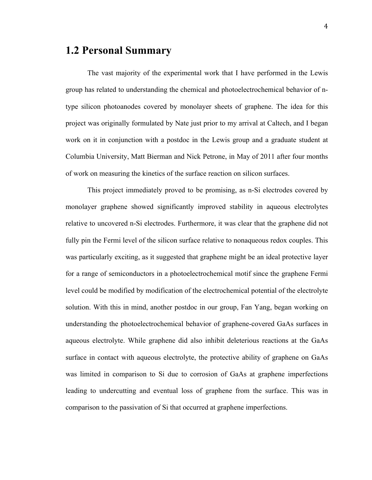## **1.2 Personal Summary**

The vast majority of the experimental work that I have performed in the Lewis group has related to understanding the chemical and photoelectrochemical behavior of ntype silicon photoanodes covered by monolayer sheets of graphene. The idea for this project was originally formulated by Nate just prior to my arrival at Caltech, and I began work on it in conjunction with a postdoc in the Lewis group and a graduate student at Columbia University, Matt Bierman and Nick Petrone, in May of 2011 after four months of work on measuring the kinetics of the surface reaction on silicon surfaces.

This project immediately proved to be promising, as n-Si electrodes covered by monolayer graphene showed significantly improved stability in aqueous electrolytes relative to uncovered n-Si electrodes. Furthermore, it was clear that the graphene did not fully pin the Fermi level of the silicon surface relative to nonaqueous redox couples. This was particularly exciting, as it suggested that graphene might be an ideal protective layer for a range of semiconductors in a photoelectrochemical motif since the graphene Fermi level could be modified by modification of the electrochemical potential of the electrolyte solution. With this in mind, another postdoc in our group, Fan Yang, began working on understanding the photoelectrochemical behavior of graphene-covered GaAs surfaces in aqueous electrolyte. While graphene did also inhibit deleterious reactions at the GaAs surface in contact with aqueous electrolyte, the protective ability of graphene on GaAs was limited in comparison to Si due to corrosion of GaAs at graphene imperfections leading to undercutting and eventual loss of graphene from the surface. This was in comparison to the passivation of Si that occurred at graphene imperfections.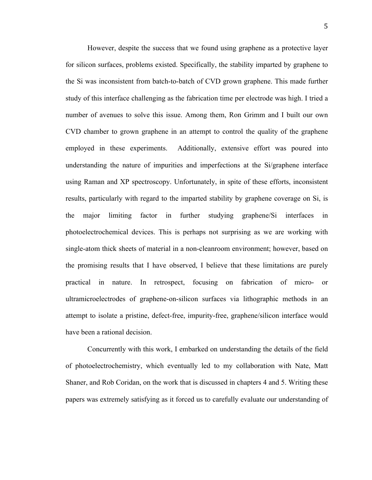However, despite the success that we found using graphene as a protective layer for silicon surfaces, problems existed. Specifically, the stability imparted by graphene to the Si was inconsistent from batch-to-batch of CVD grown graphene. This made further study of this interface challenging as the fabrication time per electrode was high. I tried a number of avenues to solve this issue. Among them, Ron Grimm and I built our own CVD chamber to grown graphene in an attempt to control the quality of the graphene employed in these experiments. Additionally, extensive effort was poured into understanding the nature of impurities and imperfections at the Si/graphene interface using Raman and XP spectroscopy. Unfortunately, in spite of these efforts, inconsistent results, particularly with regard to the imparted stability by graphene coverage on Si, is the major limiting factor in further studying graphene/Si interfaces in photoelectrochemical devices. This is perhaps not surprising as we are working with single-atom thick sheets of material in a non-cleanroom environment; however, based on the promising results that I have observed, I believe that these limitations are purely practical in nature. In retrospect, focusing on fabrication of micro- or ultramicroelectrodes of graphene-on-silicon surfaces via lithographic methods in an attempt to isolate a pristine, defect-free, impurity-free, graphene/silicon interface would have been a rational decision.

Concurrently with this work, I embarked on understanding the details of the field of photoelectrochemistry, which eventually led to my collaboration with Nate, Matt Shaner, and Rob Coridan, on the work that is discussed in chapters 4 and 5. Writing these papers was extremely satisfying as it forced us to carefully evaluate our understanding of